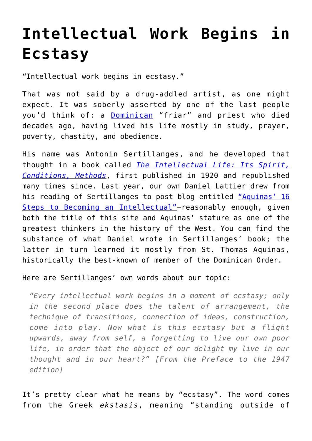## **[Intellectual Work Begins in](https://intellectualtakeout.org/2016/04/intellectual-work-begins-in-ecstasy/) [Ecstasy](https://intellectualtakeout.org/2016/04/intellectual-work-begins-in-ecstasy/)**

"Intellectual work begins in ecstasy."

That was not said by a drug-addled artist, as one might expect. It was soberly asserted by one of the last people you'd think of: a [Dominican](http://www.op.org/en) "friar" and priest who died decades ago, having lived his life mostly in study, prayer, poverty, chastity, and obedience.

His name was Antonin Sertillanges, and he developed that thought in a book called *[The Intellectual Life: Its Spirit,](http://www.amazon.com/The-Intellectual-Life-Conditions-Methods/dp/0813206464) [Conditions, Methods](http://www.amazon.com/The-Intellectual-Life-Conditions-Methods/dp/0813206464)*, first published in 1920 and republished many times since. Last year, our own Daniel Lattier drew from his reading of Sertillanges to post blog entitled ["Aquinas' 16](https://www.intellectualtakeout.org/blog/aquinas%E2%80%99-16-steps-becoming-intellectual) [Steps to Becoming an Intellectual"—](https://www.intellectualtakeout.org/blog/aquinas%E2%80%99-16-steps-becoming-intellectual)reasonably enough, given both the title of this site and Aquinas' stature as one of the greatest thinkers in the history of the West. You can find the substance of what Daniel wrote in Sertillanges' book; the latter in turn learned it mostly from St. Thomas Aquinas, historically the best-known of member of the Dominican Order.

Here are Sertillanges' own words about our topic:

*"Every intellectual work begins in a moment of ecstasy; only in the second place does the talent of arrangement, the technique of transitions, connection of ideas, construction, come into play. Now what is this ecstasy but a flight upwards, away from self, a forgetting to live our own poor life, in order that the object of our delight my live in our thought and in our heart?" [From the Preface to the 1947 edition]*

It's pretty clear what he means by "ecstasy". The word comes from the Greek *ekstasis*, meaning "standing outside of